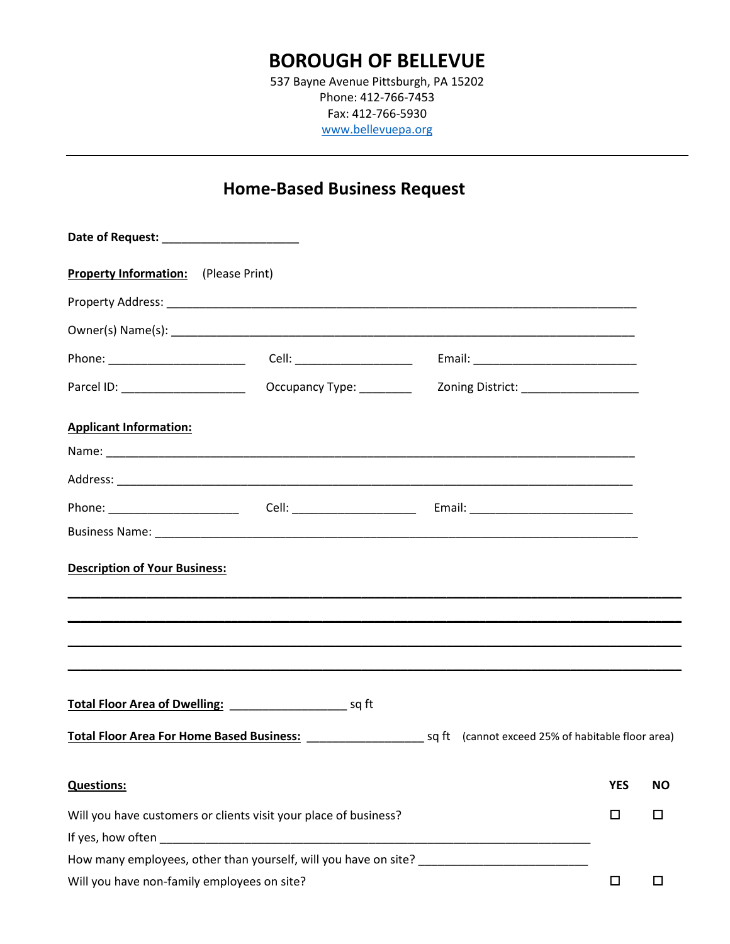## **BOROUGH OF BELLEVUE**

537 Bayne Avenue Pittsburgh, PA 15202 Phone: 412-766-7453 Fax: 412-766-5930 [www.bellevuepa.org](http://www.bellevuepa.org/)

# **Home-Based Business Request**

| Date of Request: _________________________                       |                          |  |                                      |            |           |
|------------------------------------------------------------------|--------------------------|--|--------------------------------------|------------|-----------|
| <b>Property Information:</b> (Please Print)                      |                          |  |                                      |            |           |
|                                                                  |                          |  |                                      |            |           |
|                                                                  |                          |  |                                      |            |           |
| Phone: ________________________                                  |                          |  |                                      |            |           |
| Parcel ID: ______________________                                | Occupancy Type: ________ |  | Zoning District: ___________________ |            |           |
| <b>Applicant Information:</b>                                    |                          |  |                                      |            |           |
|                                                                  |                          |  |                                      |            |           |
|                                                                  |                          |  |                                      |            |           |
|                                                                  |                          |  |                                      |            |           |
|                                                                  |                          |  |                                      |            |           |
| <b>Description of Your Business:</b>                             |                          |  |                                      |            |           |
|                                                                  |                          |  |                                      |            |           |
|                                                                  |                          |  |                                      |            |           |
|                                                                  |                          |  |                                      |            |           |
|                                                                  |                          |  |                                      |            |           |
|                                                                  |                          |  |                                      |            |           |
| <b>Questions:</b>                                                |                          |  |                                      | <b>YES</b> | <b>NO</b> |
| Will you have customers or clients visit your place of business? |                          |  |                                      |            | □         |
|                                                                  |                          |  |                                      |            |           |
| How many employees, other than yourself, will you have on site?  |                          |  |                                      |            |           |
| Will you have non-family employees on site?                      |                          |  |                                      | $\Box$     | □         |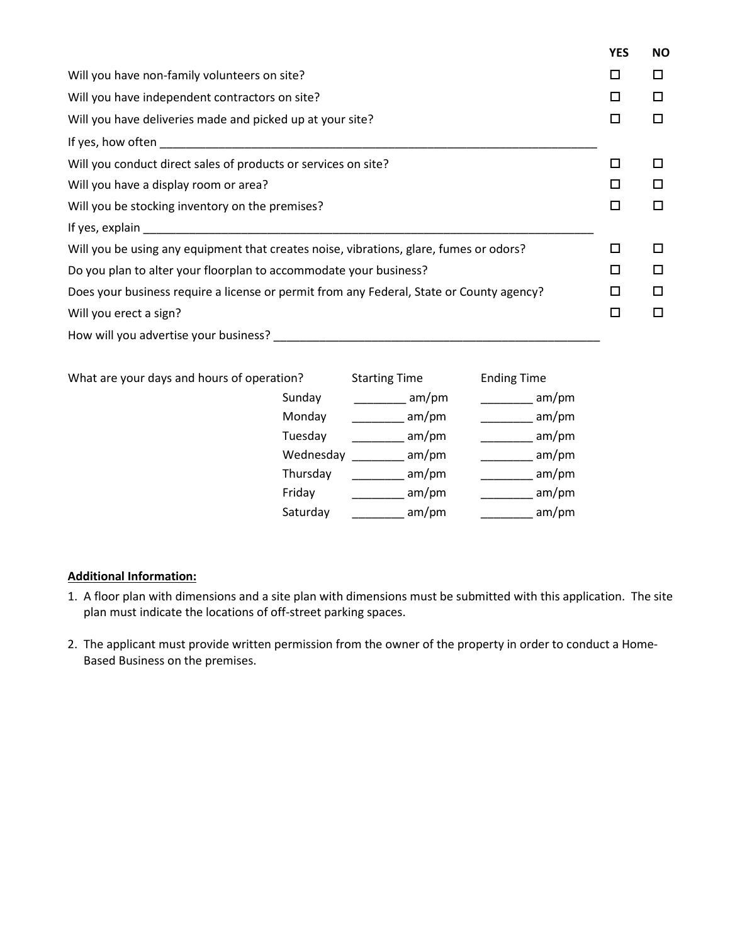|                                                                                                                                                                                                                                | <b>YES</b> | <b>NO</b> |
|--------------------------------------------------------------------------------------------------------------------------------------------------------------------------------------------------------------------------------|------------|-----------|
| Will you have non-family volunteers on site?                                                                                                                                                                                   | □          | □         |
| Will you have independent contractors on site?                                                                                                                                                                                 | □          | □         |
| Will you have deliveries made and picked up at your site?                                                                                                                                                                      |            |           |
| If yes, how often the state of the state of the state of the state of the state of the state of the state of the state of the state of the state of the state of the state of the state of the state of the state of the state |            |           |
| Will you conduct direct sales of products or services on site?                                                                                                                                                                 | □          | П         |
| Will you have a display room or area?                                                                                                                                                                                          |            | П         |
| Will you be stocking inventory on the premises?                                                                                                                                                                                |            | □         |
| If yes, explain                                                                                                                                                                                                                |            |           |
| Will you be using any equipment that creates noise, vibrations, glare, fumes or odors?                                                                                                                                         | □          | □         |
| Do you plan to alter your floorplan to accommodate your business?                                                                                                                                                              |            | □         |
| Does your business require a license or permit from any Federal, State or County agency?                                                                                                                                       |            | □         |
| Will you erect a sign?                                                                                                                                                                                                         | □          | П         |
| How will you advertise your business?                                                                                                                                                                                          |            |           |

What are your days and hours of operation? Starting Time Ending Time

| 10011     | JUILLING TIITIL | LUULLE UILL |
|-----------|-----------------|-------------|
| Sunday    | am/pm           | am/pm       |
| Monday    | am/pm           | am/pm       |
| Tuesday   | am/pm           | am/pm       |
| Wednesday | am/pm           | am/pm       |
| Thursday  | am/pm           | am/pm       |
| Friday    | am/pm           | am/pm       |
| Saturday  | am/pm           | am/pm       |

#### **Additional Information:**

- 1. A floor plan with dimensions and a site plan with dimensions must be submitted with this application. The site plan must indicate the locations of off-street parking spaces.
- 2. The applicant must provide written permission from the owner of the property in order to conduct a Home-Based Business on the premises.